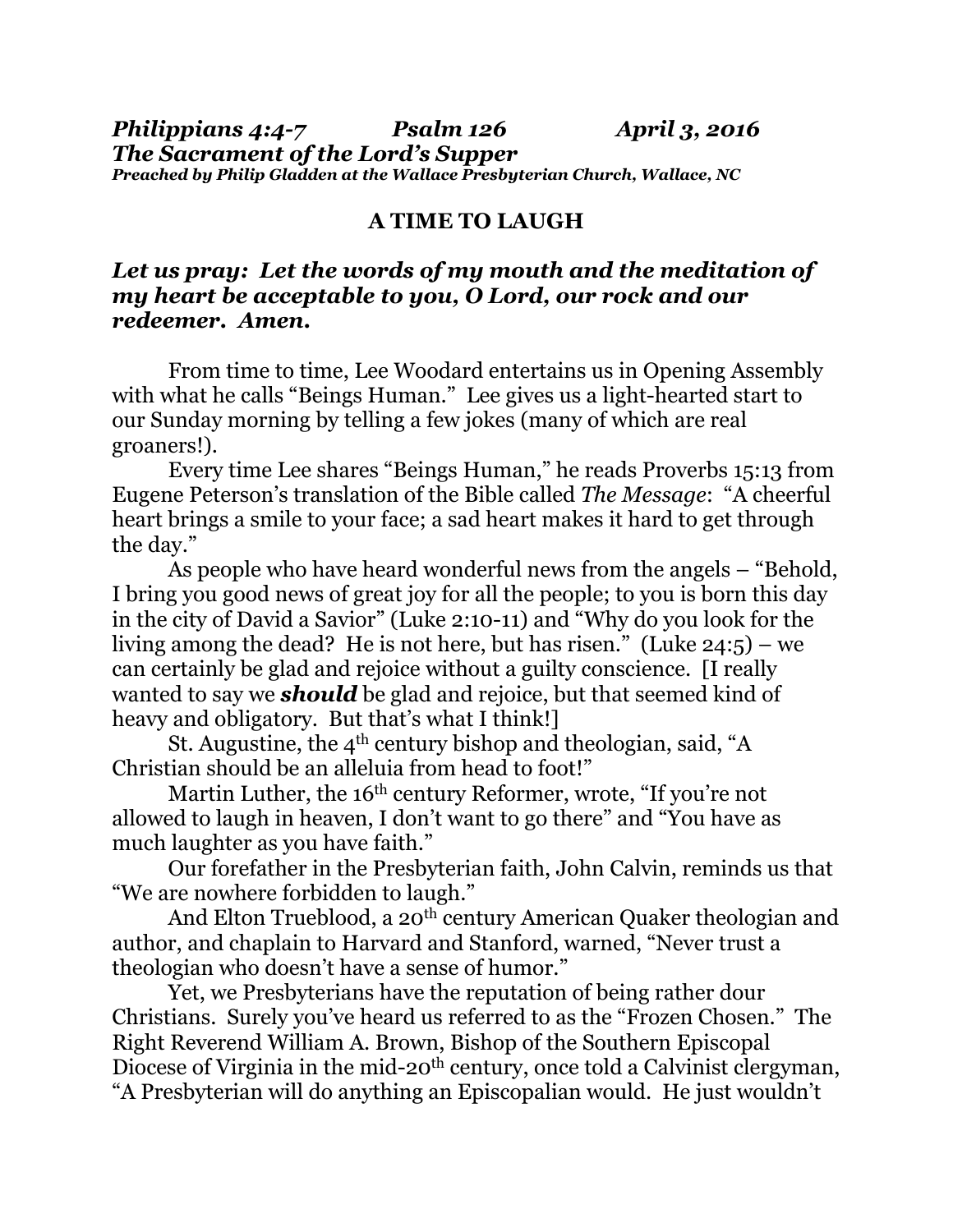*Philippians 4:4-7 Psalm 126 April 3, 2016 The Sacrament of the Lord's Supper Preached by Philip Gladden at the Wallace Presbyterian Church, Wallace, NC*

## **A TIME TO LAUGH**

## *Let us pray: Let the words of my mouth and the meditation of my heart be acceptable to you, O Lord, our rock and our redeemer. Amen.*

 From time to time, Lee Woodard entertains us in Opening Assembly with what he calls "Beings Human." Lee gives us a light-hearted start to our Sunday morning by telling a few jokes (many of which are real groaners!).

 Every time Lee shares "Beings Human," he reads Proverbs 15:13 from Eugene Peterson's translation of the Bible called *The Message*: "A cheerful heart brings a smile to your face; a sad heart makes it hard to get through the day."

 As people who have heard wonderful news from the angels – "Behold, I bring you good news of great joy for all the people; to you is born this day in the city of David a Savior" (Luke 2:10-11) and "Why do you look for the living among the dead? He is not here, but has risen." (Luke 24:5) – we can certainly be glad and rejoice without a guilty conscience. [I really wanted to say we *should* be glad and rejoice, but that seemed kind of heavy and obligatory. But that's what I think!]

St. Augustine, the  $4<sup>th</sup>$  century bishop and theologian, said, "A Christian should be an alleluia from head to foot!"

Martin Luther, the 16<sup>th</sup> century Reformer, wrote, "If you're not allowed to laugh in heaven, I don't want to go there" and "You have as much laughter as you have faith."

 Our forefather in the Presbyterian faith, John Calvin, reminds us that "We are nowhere forbidden to laugh."

And Elton Trueblood, a 20<sup>th</sup> century American Quaker theologian and author, and chaplain to Harvard and Stanford, warned, "Never trust a theologian who doesn't have a sense of humor."

Yet, we Presbyterians have the reputation of being rather dour Christians. Surely you've heard us referred to as the "Frozen Chosen." The Right Reverend William A. Brown, Bishop of the Southern Episcopal Diocese of Virginia in the mid-20<sup>th</sup> century, once told a Calvinist clergyman, "A Presbyterian will do anything an Episcopalian would. He just wouldn't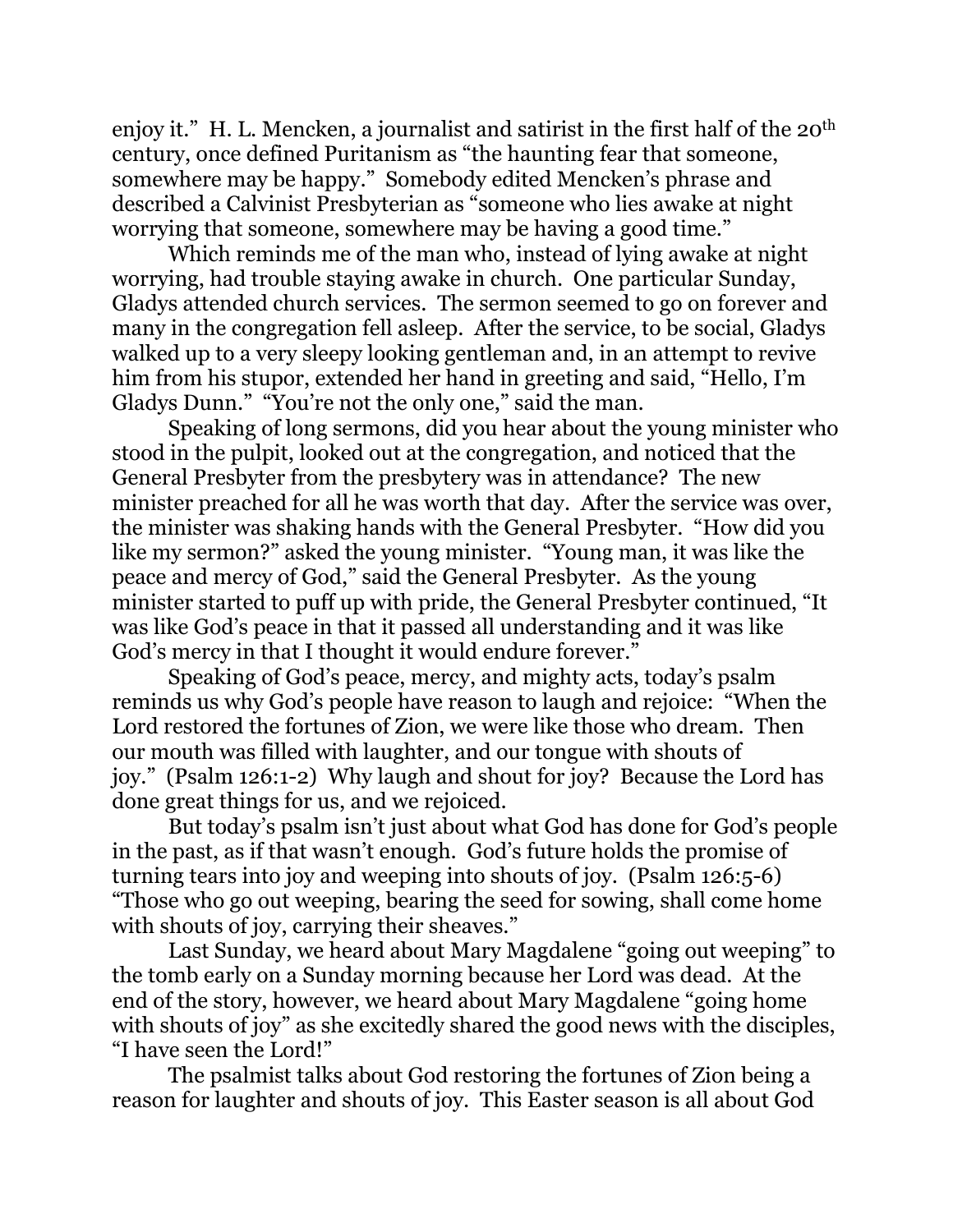enjoy it." H. L. Mencken, a journalist and satirist in the first half of the 20<sup>th</sup> century, once defined Puritanism as "the haunting fear that someone, somewhere may be happy." Somebody edited Mencken's phrase and described a Calvinist Presbyterian as "someone who lies awake at night worrying that someone, somewhere may be having a good time."

 Which reminds me of the man who, instead of lying awake at night worrying, had trouble staying awake in church. One particular Sunday, Gladys attended church services. The sermon seemed to go on forever and many in the congregation fell asleep. After the service, to be social, Gladys walked up to a very sleepy looking gentleman and, in an attempt to revive him from his stupor, extended her hand in greeting and said, "Hello, I'm Gladys Dunn." "You're not the only one," said the man.

 Speaking of long sermons, did you hear about the young minister who stood in the pulpit, looked out at the congregation, and noticed that the General Presbyter from the presbytery was in attendance? The new minister preached for all he was worth that day. After the service was over, the minister was shaking hands with the General Presbyter. "How did you like my sermon?" asked the young minister. "Young man, it was like the peace and mercy of God," said the General Presbyter. As the young minister started to puff up with pride, the General Presbyter continued, "It was like God's peace in that it passed all understanding and it was like God's mercy in that I thought it would endure forever."

 Speaking of God's peace, mercy, and mighty acts, today's psalm reminds us why God's people have reason to laugh and rejoice: "When the Lord restored the fortunes of Zion, we were like those who dream. Then our mouth was filled with laughter, and our tongue with shouts of joy." (Psalm 126:1-2) Why laugh and shout for joy? Because the Lord has done great things for us, and we rejoiced.

 But today's psalm isn't just about what God has done for God's people in the past, as if that wasn't enough. God's future holds the promise of turning tears into joy and weeping into shouts of joy. (Psalm 126:5-6) "Those who go out weeping, bearing the seed for sowing, shall come home with shouts of joy, carrying their sheaves."

 Last Sunday, we heard about Mary Magdalene "going out weeping" to the tomb early on a Sunday morning because her Lord was dead. At the end of the story, however, we heard about Mary Magdalene "going home with shouts of joy" as she excitedly shared the good news with the disciples, "I have seen the Lord!"

 The psalmist talks about God restoring the fortunes of Zion being a reason for laughter and shouts of joy. This Easter season is all about God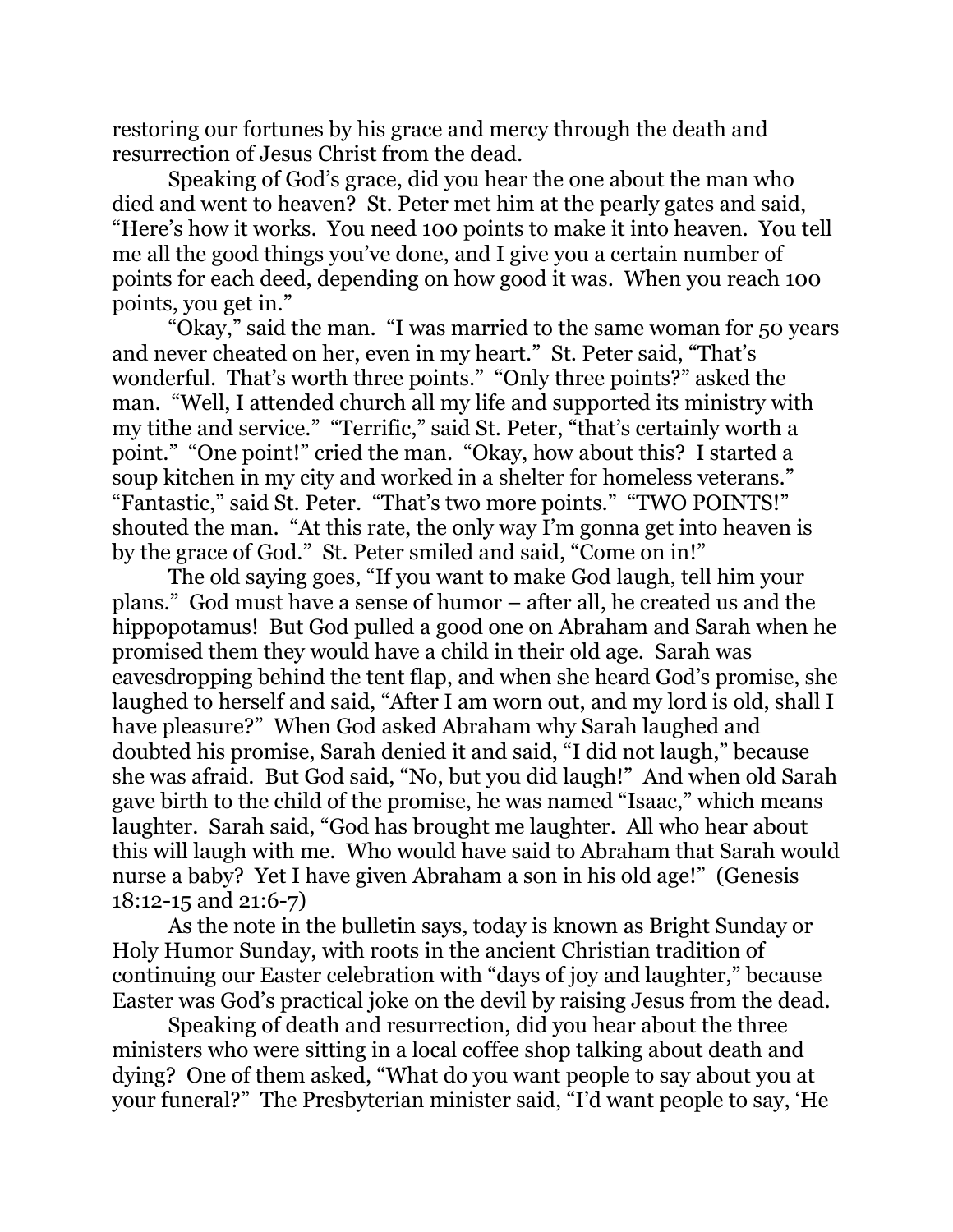restoring our fortunes by his grace and mercy through the death and resurrection of Jesus Christ from the dead.

 Speaking of God's grace, did you hear the one about the man who died and went to heaven? St. Peter met him at the pearly gates and said, "Here's how it works. You need 100 points to make it into heaven. You tell me all the good things you've done, and I give you a certain number of points for each deed, depending on how good it was. When you reach 100 points, you get in."

 "Okay," said the man. "I was married to the same woman for 50 years and never cheated on her, even in my heart." St. Peter said, "That's wonderful. That's worth three points." "Only three points?" asked the man. "Well, I attended church all my life and supported its ministry with my tithe and service." "Terrific," said St. Peter, "that's certainly worth a point." "One point!" cried the man. "Okay, how about this? I started a soup kitchen in my city and worked in a shelter for homeless veterans." "Fantastic," said St. Peter. "That's two more points." "TWO POINTS!" shouted the man. "At this rate, the only way I'm gonna get into heaven is by the grace of God." St. Peter smiled and said, "Come on in!"

 The old saying goes, "If you want to make God laugh, tell him your plans." God must have a sense of humor – after all, he created us and the hippopotamus! But God pulled a good one on Abraham and Sarah when he promised them they would have a child in their old age. Sarah was eavesdropping behind the tent flap, and when she heard God's promise, she laughed to herself and said, "After I am worn out, and my lord is old, shall I have pleasure?" When God asked Abraham why Sarah laughed and doubted his promise, Sarah denied it and said, "I did not laugh," because she was afraid. But God said, "No, but you did laugh!" And when old Sarah gave birth to the child of the promise, he was named "Isaac," which means laughter. Sarah said, "God has brought me laughter. All who hear about this will laugh with me. Who would have said to Abraham that Sarah would nurse a baby? Yet I have given Abraham a son in his old age!" (Genesis 18:12-15 and 21:6-7)

 As the note in the bulletin says, today is known as Bright Sunday or Holy Humor Sunday, with roots in the ancient Christian tradition of continuing our Easter celebration with "days of joy and laughter," because Easter was God's practical joke on the devil by raising Jesus from the dead.

 Speaking of death and resurrection, did you hear about the three ministers who were sitting in a local coffee shop talking about death and dying? One of them asked, "What do you want people to say about you at your funeral?" The Presbyterian minister said, "I'd want people to say, 'He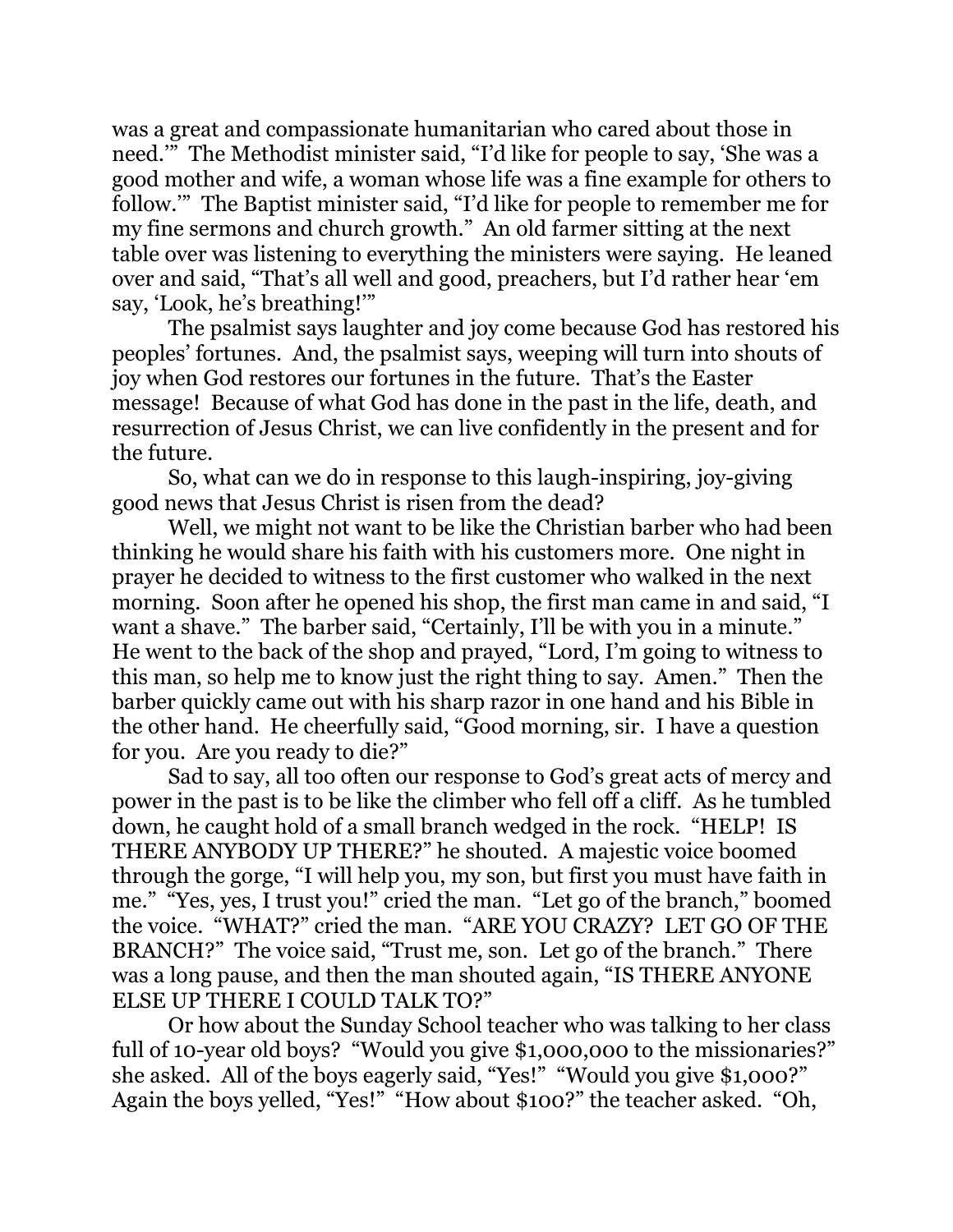was a great and compassionate humanitarian who cared about those in need.'" The Methodist minister said, "I'd like for people to say, 'She was a good mother and wife, a woman whose life was a fine example for others to follow.'" The Baptist minister said, "I'd like for people to remember me for my fine sermons and church growth." An old farmer sitting at the next table over was listening to everything the ministers were saying. He leaned over and said, "That's all well and good, preachers, but I'd rather hear 'em say, 'Look, he's breathing!'"

 The psalmist says laughter and joy come because God has restored his peoples' fortunes. And, the psalmist says, weeping will turn into shouts of joy when God restores our fortunes in the future. That's the Easter message! Because of what God has done in the past in the life, death, and resurrection of Jesus Christ, we can live confidently in the present and for the future.

 So, what can we do in response to this laugh-inspiring, joy-giving good news that Jesus Christ is risen from the dead?

 Well, we might not want to be like the Christian barber who had been thinking he would share his faith with his customers more. One night in prayer he decided to witness to the first customer who walked in the next morning. Soon after he opened his shop, the first man came in and said, "I want a shave." The barber said, "Certainly, I'll be with you in a minute." He went to the back of the shop and prayed, "Lord, I'm going to witness to this man, so help me to know just the right thing to say. Amen." Then the barber quickly came out with his sharp razor in one hand and his Bible in the other hand. He cheerfully said, "Good morning, sir. I have a question for you. Are you ready to die?"

 Sad to say, all too often our response to God's great acts of mercy and power in the past is to be like the climber who fell off a cliff. As he tumbled down, he caught hold of a small branch wedged in the rock. "HELP! IS THERE ANYBODY UP THERE?" he shouted. A majestic voice boomed through the gorge, "I will help you, my son, but first you must have faith in me." "Yes, yes, I trust you!" cried the man. "Let go of the branch," boomed the voice. "WHAT?" cried the man. "ARE YOU CRAZY? LET GO OF THE BRANCH?" The voice said, "Trust me, son. Let go of the branch." There was a long pause, and then the man shouted again, "IS THERE ANYONE ELSE UP THERE I COULD TALK TO?"

 Or how about the Sunday School teacher who was talking to her class full of 10-year old boys? "Would you give \$1,000,000 to the missionaries?" she asked. All of the boys eagerly said, "Yes!" "Would you give \$1,000?" Again the boys yelled, "Yes!" "How about \$100?" the teacher asked. "Oh,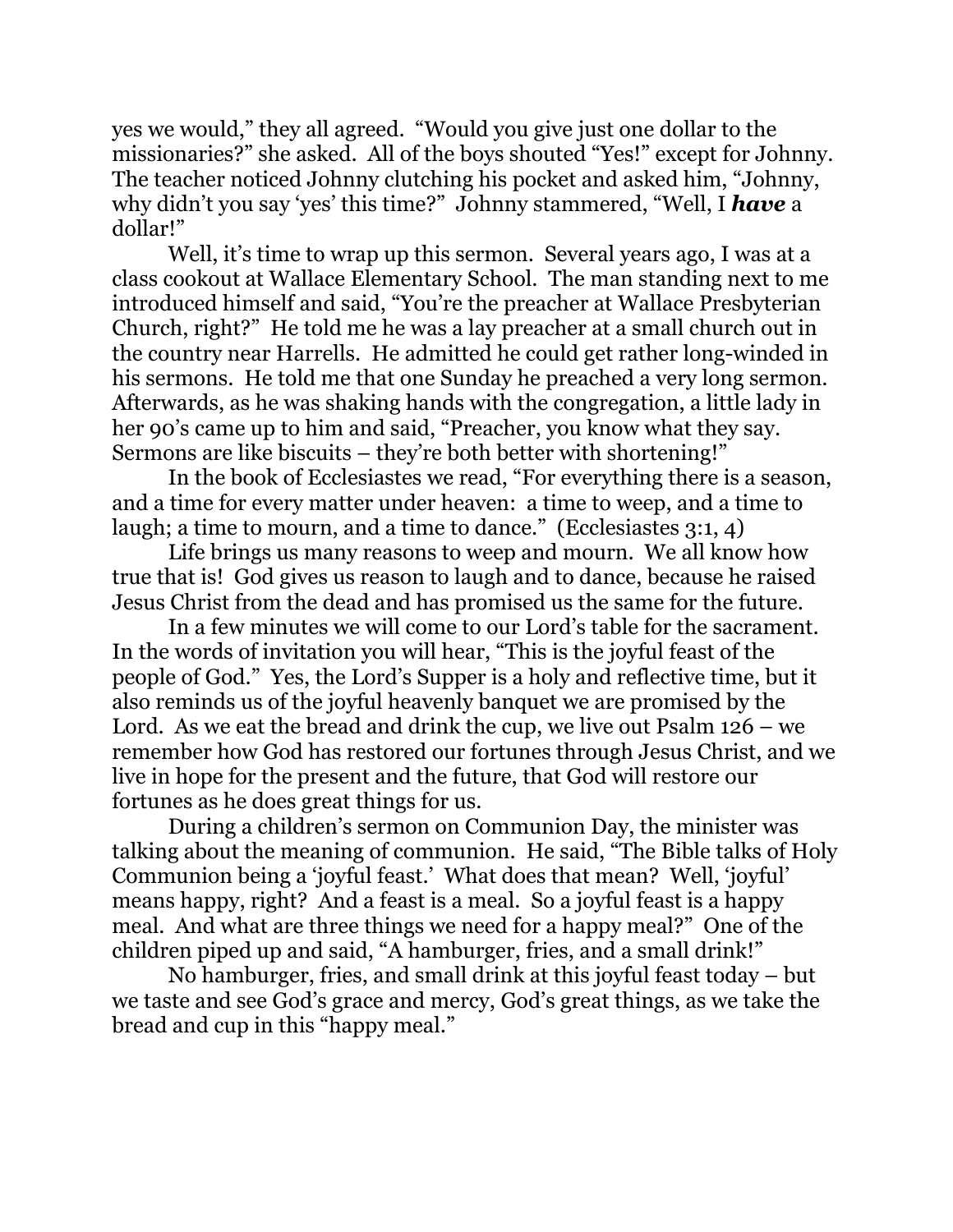yes we would," they all agreed. "Would you give just one dollar to the missionaries?" she asked. All of the boys shouted "Yes!" except for Johnny. The teacher noticed Johnny clutching his pocket and asked him, "Johnny, why didn't you say 'yes' this time?" Johnny stammered, "Well, I *have* a dollar!"

 Well, it's time to wrap up this sermon. Several years ago, I was at a class cookout at Wallace Elementary School. The man standing next to me introduced himself and said, "You're the preacher at Wallace Presbyterian Church, right?" He told me he was a lay preacher at a small church out in the country near Harrells. He admitted he could get rather long-winded in his sermons. He told me that one Sunday he preached a very long sermon. Afterwards, as he was shaking hands with the congregation, a little lady in her 90's came up to him and said, "Preacher, you know what they say. Sermons are like biscuits – they're both better with shortening!"

 In the book of Ecclesiastes we read, "For everything there is a season, and a time for every matter under heaven: a time to weep, and a time to laugh; a time to mourn, and a time to dance." (Ecclesiastes 3:1, 4)

 Life brings us many reasons to weep and mourn. We all know how true that is! God gives us reason to laugh and to dance, because he raised Jesus Christ from the dead and has promised us the same for the future.

 In a few minutes we will come to our Lord's table for the sacrament. In the words of invitation you will hear, "This is the joyful feast of the people of God." Yes, the Lord's Supper is a holy and reflective time, but it also reminds us of the joyful heavenly banquet we are promised by the Lord. As we eat the bread and drink the cup, we live out Psalm 126 – we remember how God has restored our fortunes through Jesus Christ, and we live in hope for the present and the future, that God will restore our fortunes as he does great things for us.

 During a children's sermon on Communion Day, the minister was talking about the meaning of communion. He said, "The Bible talks of Holy Communion being a 'joyful feast.' What does that mean? Well, 'joyful' means happy, right? And a feast is a meal. So a joyful feast is a happy meal. And what are three things we need for a happy meal?" One of the children piped up and said, "A hamburger, fries, and a small drink!"

 No hamburger, fries, and small drink at this joyful feast today – but we taste and see God's grace and mercy, God's great things, as we take the bread and cup in this "happy meal."